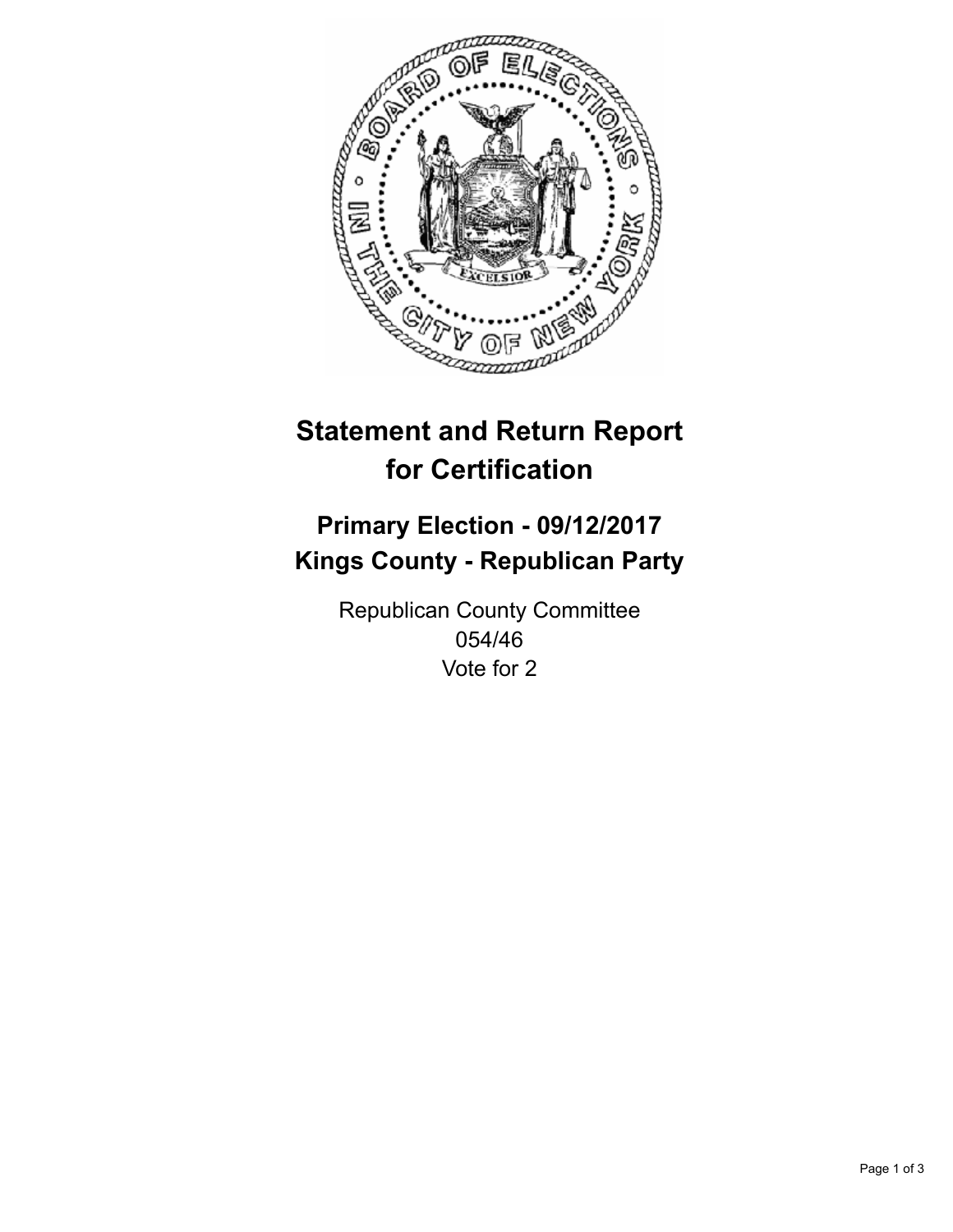

## **Statement and Return Report for Certification**

## **Primary Election - 09/12/2017 Kings County - Republican Party**

Republican County Committee 054/46 Vote for 2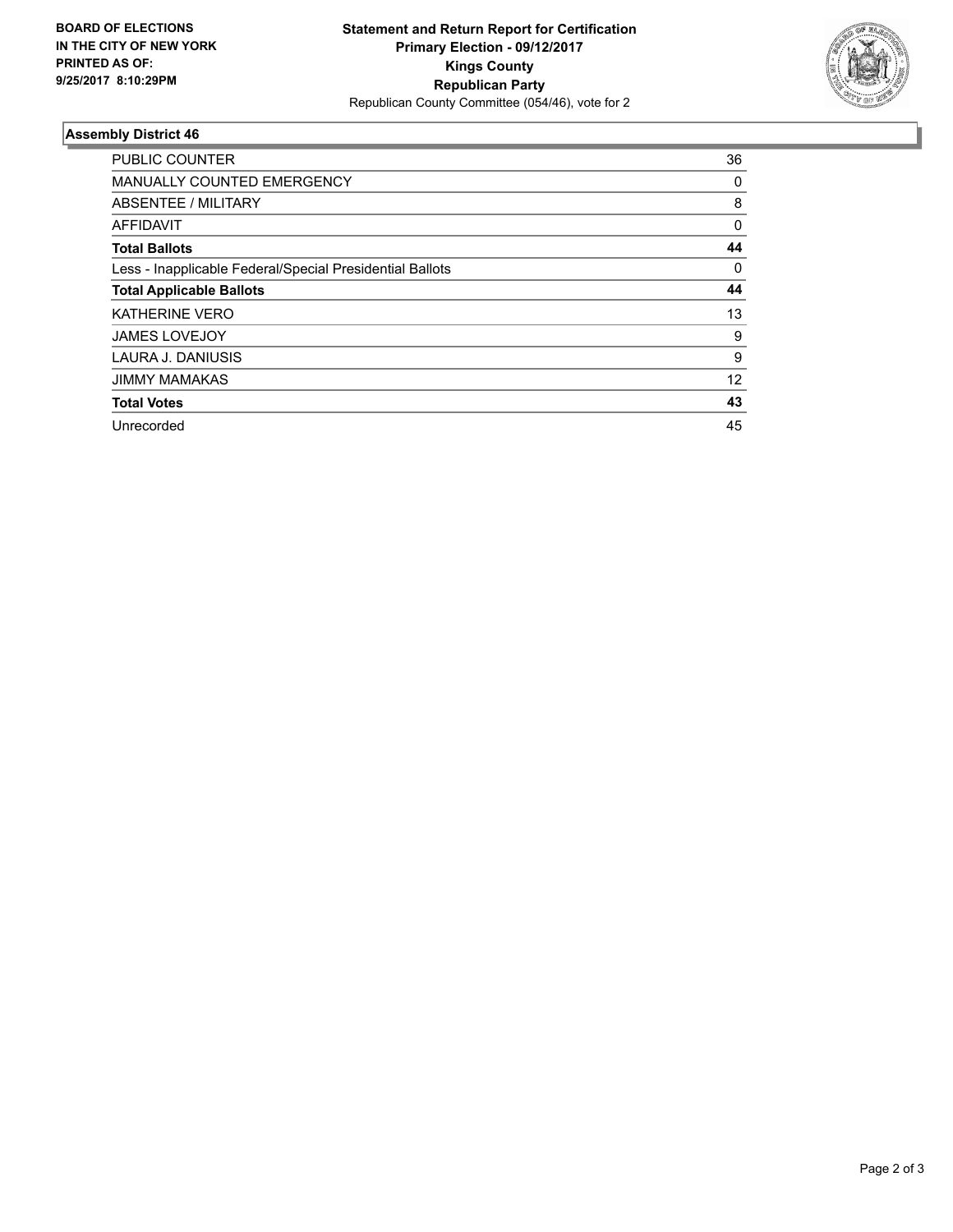

## **Assembly District 46**

| <b>PUBLIC COUNTER</b>                                    | 36       |
|----------------------------------------------------------|----------|
| <b>MANUALLY COUNTED EMERGENCY</b>                        | 0        |
| ABSENTEE / MILITARY                                      | 8        |
| AFFIDAVIT                                                | $\Omega$ |
| <b>Total Ballots</b>                                     | 44       |
| Less - Inapplicable Federal/Special Presidential Ballots | 0        |
| <b>Total Applicable Ballots</b>                          | 44       |
| <b>KATHERINE VERO</b>                                    | 13       |
| <b>JAMES LOVEJOY</b>                                     | 9        |
| LAURA J. DANIUSIS                                        | 9        |
| <b>JIMMY MAMAKAS</b>                                     | 12       |
| <b>Total Votes</b>                                       | 43       |
| Unrecorded                                               | 45       |